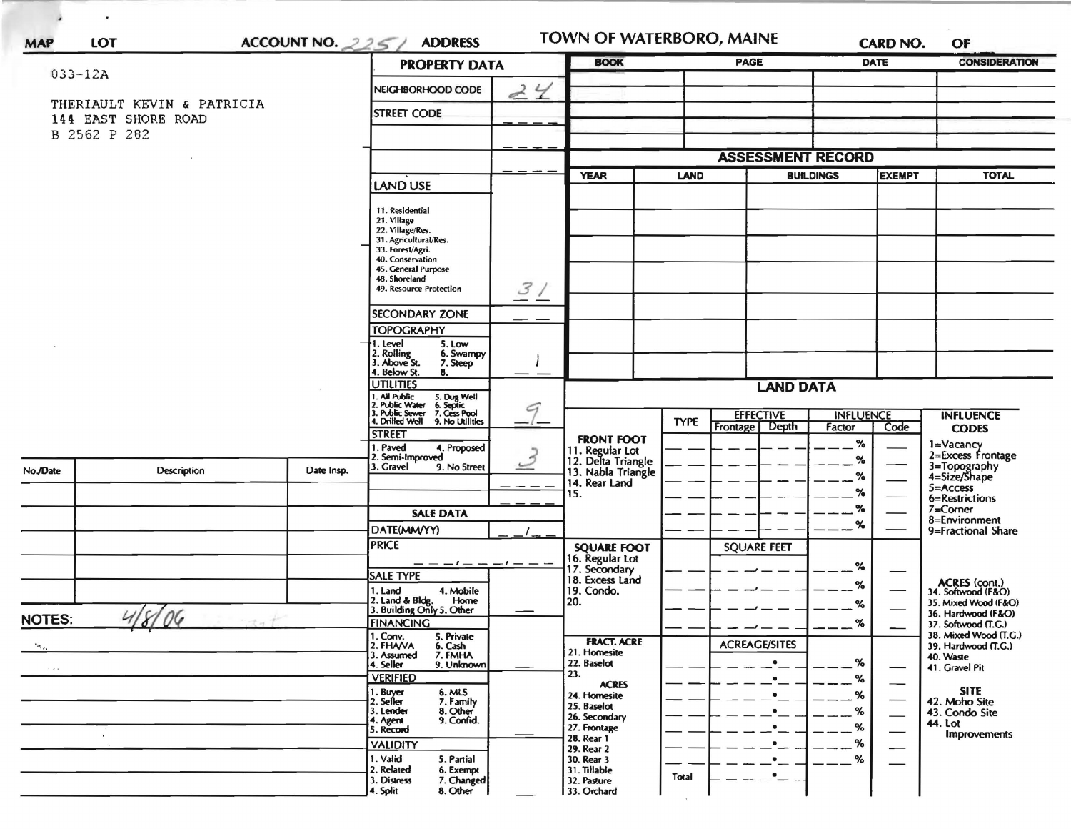| ACCOUNT NO. $225/$<br><b>LOT</b><br><b>MAP</b> |                            | <b>ADDRESS</b> | TOWN OF WATERBORO, MAINE<br><b>BOOK</b><br><b>PAGE</b>                                                                                     |                      |                                                        | <b>CARD NO.</b> | OF                                    |                            |               |                                              |  |
|------------------------------------------------|----------------------------|----------------|--------------------------------------------------------------------------------------------------------------------------------------------|----------------------|--------------------------------------------------------|-----------------|---------------------------------------|----------------------------|---------------|----------------------------------------------|--|
| $033 - 12A$                                    |                            |                |                                                                                                                                            | <b>PROPERTY DATA</b> |                                                        |                 |                                       |                            | <b>DATE</b>   | <b>CONSIDERATION</b>                         |  |
|                                                |                            |                | NEIGHBORHOOD CODE                                                                                                                          | 24                   |                                                        |                 |                                       |                            |               |                                              |  |
|                                                | THERIAULT KEVIN & PATRICIA |                | <b>STREET CODE</b>                                                                                                                         |                      |                                                        |                 |                                       |                            |               |                                              |  |
|                                                | 144 EAST SHORE ROAD        |                |                                                                                                                                            |                      |                                                        |                 |                                       |                            |               |                                              |  |
|                                                | B 2562 P 282               |                |                                                                                                                                            |                      |                                                        |                 |                                       |                            |               |                                              |  |
|                                                |                            |                |                                                                                                                                            |                      |                                                        |                 | <b>ASSESSMENT RECORD</b>              |                            |               |                                              |  |
|                                                |                            |                | <b>LAND USE</b>                                                                                                                            |                      | <b>YEAR</b>                                            |                 | <b>LAND</b><br><b>BUILDINGS</b>       |                            | <b>EXEMPT</b> | <b>TOTAL</b>                                 |  |
|                                                |                            |                |                                                                                                                                            |                      |                                                        |                 |                                       |                            |               |                                              |  |
|                                                |                            |                | 11. Residential<br>21. Village                                                                                                             |                      |                                                        |                 |                                       |                            |               |                                              |  |
|                                                |                            |                | 22. Village/Res.                                                                                                                           |                      |                                                        |                 |                                       |                            |               |                                              |  |
|                                                |                            |                | 31. Agricultural/Res.<br>33. Forest/Agri.                                                                                                  |                      |                                                        |                 |                                       |                            |               |                                              |  |
|                                                |                            |                | 40. Conservation<br>45. General Purpose                                                                                                    |                      |                                                        |                 |                                       |                            |               |                                              |  |
|                                                |                            |                | 48. Shoreland<br>49. Resource Protection                                                                                                   |                      |                                                        |                 |                                       |                            |               |                                              |  |
|                                                |                            |                |                                                                                                                                            | 3/                   |                                                        |                 |                                       |                            |               |                                              |  |
|                                                |                            |                | <b>SECONDARY ZONE</b>                                                                                                                      |                      |                                                        |                 |                                       |                            |               |                                              |  |
|                                                |                            |                | <b>TOPOGRAPHY</b>                                                                                                                          |                      |                                                        |                 |                                       |                            |               |                                              |  |
|                                                |                            |                | 1. Level<br>5. Low<br>2. Rolling<br>3. Above St.<br>6. Swampy                                                                              |                      |                                                        |                 |                                       |                            |               |                                              |  |
|                                                |                            |                | 7. Steep<br>4. Below St.<br>8.                                                                                                             |                      |                                                        |                 |                                       |                            |               |                                              |  |
|                                                |                            |                | <b>UTILITIES</b>                                                                                                                           | <b>LAND DATA</b>     |                                                        |                 |                                       |                            |               |                                              |  |
|                                                |                            |                | I. Ail Public<br>1. Ail Public 5. Dug Well<br>2. Public Water 6. Septic<br>3. Public Sewer 7. Cess Pool<br>4. Drilled Well 9. No Utilities | G                    |                                                        |                 |                                       |                            |               |                                              |  |
|                                                |                            |                |                                                                                                                                            |                      |                                                        | <b>TYPE</b>     | <b>EFFECTIVE</b><br>Depth<br>Frontage | <b>INFLUENCE</b><br>Factor | Code          | <b>INFLUENCE</b><br><b>CODES</b>             |  |
|                                                |                            |                | <b>STREET</b>                                                                                                                              |                      | <b>FRONT FOOT</b>                                      |                 |                                       | %                          |               |                                              |  |
|                                                |                            |                | 1. Paved<br>4. Proposed<br>2. Semi-Improved                                                                                                | $\overline{z}$       | 11. Regular Lot<br>12. Delta Triangle                  |                 |                                       | %                          |               | 1=Vacancy<br>2=Excess Frontage               |  |
| No./Date                                       | <b>Description</b>         | Date Insp.     | 3. Gravel<br>9. No Street                                                                                                                  |                      | 13. Nabla Triangle                                     |                 |                                       | %                          |               | 3=Topography<br>4=Size/Shape                 |  |
|                                                |                            |                |                                                                                                                                            |                      | 14. Rear Land<br>15.                                   |                 |                                       | %                          |               | 5=Access                                     |  |
|                                                |                            |                |                                                                                                                                            |                      |                                                        |                 |                                       | %                          |               | 6=Restrictions<br>$7 =$ Corner               |  |
|                                                |                            |                | <b>SALE DATA</b><br>DATE(MM/YY)                                                                                                            |                      |                                                        |                 |                                       | %                          |               | 8=Environment                                |  |
|                                                |                            |                | <b>PRICE</b>                                                                                                                               |                      |                                                        |                 | <b>SQUARE FEET</b>                    |                            |               | 9=Fractional Share                           |  |
|                                                |                            |                |                                                                                                                                            | $-1$ $ -$            | <b>SQUARE FOOT</b><br>16. Regular Lot<br>17. Secondary |                 |                                       |                            |               |                                              |  |
|                                                |                            |                | <b>SALE TYPE</b>                                                                                                                           |                      | 18. Excess Land                                        |                 |                                       | %                          |               |                                              |  |
|                                                |                            |                | 1. Land<br>4. Mobile                                                                                                                       |                      | 19. Condo.                                             |                 |                                       | %                          |               | ACRES (cont.)<br>34. Softwood (F&O)          |  |
|                                                |                            |                | 2. Land & Bldg. Home<br>3. Building Only 5. Other<br>Home                                                                                  |                      | 20.                                                    |                 |                                       | %                          |               | 35. Mixed Wood (F&O)<br>36. Hardwood (F&O)   |  |
| <b>NOTES:</b>                                  | 06                         |                | <b>FINANCING</b>                                                                                                                           |                      |                                                        |                 |                                       | ℅                          |               | 37. Softwood (T.G.)                          |  |
| $\mathbb{Z}_{\geq 0}$                          |                            |                | 1. Conv.<br>5. Private<br>2. FHAVA<br>6. Cash                                                                                              |                      | <b>FRACT. ACRE</b>                                     |                 | <b>ACREAGE/SITES</b>                  |                            |               | 38. Mixed Wood (T.G.)<br>39. Hardwood (T.G.) |  |
|                                                |                            |                | 3. Assumed<br>7. FMHA<br>4. Seller<br>9. Unknown                                                                                           |                      | 21. Homesite<br>22. Baselot                            |                 | $\bullet$                             | %                          |               | 40. Waste                                    |  |
| $\lambda \ll 0$                                |                            |                | <b>VERIFIED</b>                                                                                                                            |                      | 23.                                                    |                 |                                       | %                          |               | 41. Gravel Pit                               |  |
|                                                |                            |                | 1. Buyer<br>2. Seller<br>6. MLS<br>7. Family                                                                                               |                      | <b>ACRES</b><br>24. Homesite                           |                 |                                       | %                          |               | <b>SITE</b><br>42. Moho Site                 |  |
|                                                |                            |                | 8. Other<br>3. Lender                                                                                                                      |                      | 25. Baselot<br>26. Secondary                           |                 | $\bullet$                             | %                          |               | 43. Condo Site                               |  |
|                                                |                            |                | 9. Confid.<br>4. Agent<br>5. Record                                                                                                        |                      | 27. Frontage                                           |                 | $\bullet$                             | %                          |               | 44. Lot<br><b>Improvements</b>               |  |
|                                                |                            |                | <b>VALIDITY</b>                                                                                                                            |                      | 28. Rear 1<br>29. Rear 2                               |                 | $\bullet$                             | ℅                          |               |                                              |  |
|                                                |                            |                | 1. Valid<br>5. Partial                                                                                                                     |                      | 30. Rear 3                                             |                 | $\bullet$                             | ℅                          |               |                                              |  |
|                                                |                            |                | 2. Related<br>6. Exempt<br>7. Changed<br>3. Distress                                                                                       |                      | 31. Tillable<br>32. Pasture                            | Total           | $\bullet$                             |                            |               |                                              |  |
|                                                |                            |                | 8. Other<br>4. Split                                                                                                                       |                      | 33. Orchard                                            |                 |                                       |                            |               |                                              |  |

 $\bar{\nu}$ 

 $\Delta$